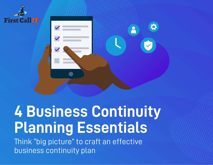

# **4 Business Continuity Planning Essentials**

Think "big picture" to craft an effective business continuity plan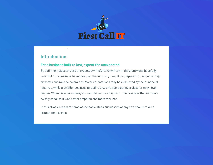

## **Introduction**

#### **For a business built to last, expect the unexpected**

By definition, disasters are unexpected—misfortune written in the stars—and hopefully rare. But for a business to survive over the long run, it must be prepared to overcome major disasters and routine calamities. Major corporations may be cushioned by their financial reserves, while a smaller business forced to close its doors during a disaster may never reopen. When disaster strikes, you want to be the exception—the business that recovers swiftly because it was better prepared and more resilient.

In this eBook, we share some of the basic steps businesses of any size should take to protect themselves.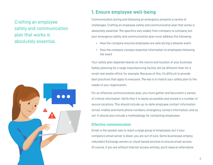# Crafting an employee safety and communication plan that works is absolutely essential.



## **1. Ensure employee well-being**

Communication during and following an emergency presents a variety of challenges. Crafting an employee safety and communication plan that works is absolutely essential. The specifics vary widely from company to company, but your emergency safety and communication plan must address the following:

- How the company ensures employees are safe during a disaster event
- How the company conveys essential information to employees following the event

Your safety plan depends heavily on the nature and location of your business. Safety planning for a large manufacturing facility will be different than for a small real estate office, for example. Because of this, it's difficult to provide best practices that apply to everyone. The key is to match your safety plan to the needs of your organization.

For an effective communications plan, you must gather and document a variety of critical information. Verify that it is easily accessible and stored in a number of secure locations. This should include up-to-date employee contact information (email, mobile and home phone numbers, emergency contact information, and so on). It should also include a methodology for contacting employees.

#### **Effective communication**

Email is the easiest way to reach a large group of employees, but if your company's email server is down, you are out of luck. Some businesses employ redundant Exchange servers or cloud-based services to ensure email access. Of course, if you are without Internet access entirely, you'll need an alternative.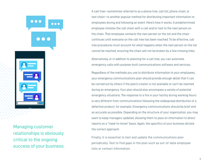Managing customer relationships is obviously critical to the ongoing success of your business.

 $\bullet$   $\bullet$ 

A call tree—sometimes referred to as a phone tree, call list, phone chain, or text chain—is another popular method for distributing important information to employees during and following an event. Here's how it works. A predetermined employee initiates the call chain with a call and/or text to the next person on the chain. That employee contacts the next person on the list and the chain continues until everyone on the call tree has been reached. To be effective, call tree procedures must account for what happens when the next person on the list cannot be reached, ensuring the chain will not be broken by a few missing links.

Alternatively, or in addition to planning for a call tree, you can automate emergency calls with purpose-built communications software and services.

Regardless of the methods you use to distribute information to your employees, your emergency communications plan should provide enough detail that it can be carried out by others if the plan's creator is not available or can't be reached during an emergency. Your plan should also encompass a variety of potential emergency situations. The response to a fire in your facility during working hours is very different from communications following the widespread distribution of a defective product, for example. Emergency communications should be brief and as accurate as possible. Depending on the structure of your organization, you may want to keep managers updated, allowing them to pass on information to direct reports on a "need-to-know" basis. Again, the specifics of your business dictate the correct approach.

Finally, it is essential to test and update the communications plan periodically. Test to find gaps in the plan such as out-of-date employee lists or contact information.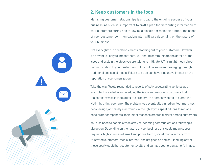## **2. Keep customers in the loop**

Managing customer relationships is critical to the ongoing success of your business. As such, it is important to craft a plan for distributing information to your customers during and following a disaster or major disruption. The scope of your customer communications plan will vary depending on the nature of your business.

Not every glitch in operations merits reaching out to your customers. However, if an event is likely to impact them, you should communicate the details of the issue and explain the steps you are taking to mitigate it. This might mean direct communication to your customers, but it could also mean messaging through traditional and social media. Failure to do so can have a negative impact on the reputation of your organization.

Take the way Toyota responded to reports of self-accelerating vehicles as an example. Instead of acknowledging the issue and assuring customers that the company was investigating the problem, the company opted to blame the victim by citing user error. The problem was eventually pinned on floor mats, gas pedal design, and faulty electronics. Although Toyota spent billions to replace accelerator components, their initial response created distrust among customers.

You also need to handle a wide array of incoming communications following a disruption. Depending on the nature of your business this could mean support requests, high volumes of email and phone traffic, social media activity from frustrated customers, media interest—the list goes on and on. Handling any of those poorly could hurt customer loyalty and damage your organization's image.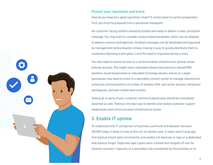

#### **Protect your reputation and brand**

How do you keep your good reputation intact? It comes down to careful preparation. First, you must be prepared from a personnel standpoint.

All customer-facing staffers should be briefed and ready to deliver a clear, consistent message. You may want to consider using scripted templates, which can be adapted to address various contingencies. Scripted messages can be developed and approved by management before disaster strikes, making it easy to quickly distribute them to customers following a disruption. Limit the need to improvise during a crisis.

You also need to ensure access to a communication infrastructure (phone, email, Internet access). This might mean redundant phone lines/services, hosted PBX systems, cloud-based email or redundant Exchange servers, and so on. Larger businesses may need to invest in a secondary contact center to manage inbound and outbound communications. A number of vendors offer call center services, temporary workspaces, and even mobile data centers.

Testing all or parts of your customer communications plan should be considered essential as well. Testing is the best way to identify and resolve customer support weaknesses and communication infrastructure issues.

## **3. Enable IT uptime**

To understand the IT component of business continuity and disaster recovery (BCDR) today, it helps to look at the not-so-distant past. It really wasn't long ago that backup meant daily incremental and weekly full backups to tape or a dedicated disk backup target. Duplicate tape copies were created and shipped off site for disaster recovery—typically to a secondary site maintained by the business or to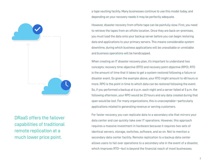

DRaaS offers the failover capabilities of traditional remote replication at a much lower price point.

a tape vaulting facility. Many businesses continue to use this model today, and depending on your recovery needs it may be perfectly adequate.

However, disaster recovery from offsite tape can be painfully slow. First, you need to retrieve the tapes from an offsite location. Once they are back on-premises, you must load the data onto your backup server before you can begin restoring data and applications to your primary servers. This means considerable system downtime, during which business applications will be unavailable or unreliable and business operations will be handicapped.

When creating an IT disaster recovery plan, it's important to understand two concepts: recovery time objective (RTO) and recovery point objective (RPO). RTO is the amount of time that it takes to get a system restored following a failure or disaster event. So given the example above, your RTO might amount to 48 hours or more. RPO is the point in time to which data can be restored following the event. So, if you performed a backup at 6 p.m. each night and a server failed at 5 p.m. the following afternoon, your RPO would be 23 hours and any data created during that span would be lost. For many organizations, this is unacceptable—particularly applications related to generating revenue or serving customers.

For faster recovery, you can replicate data to a secondary site that mirrors your data center and can quickly take over IT operations. However, this approach requires a massive investment in hardware because it requires two sets of identical servers, storage, switches, software, and so on. Not to mention a secondary data center facility. Remote replication to a backup data center allows users to fail over operations to a secondary site in the event of a disaster, which improves RTO—but is beyond the financial reach of most businesses.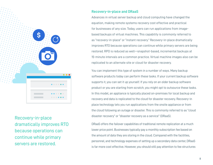

Recovery-in-place dramatically improves RTO because operations can continue while primary servers are restored.

#### **Recovery-in-place and DRaaS**

Advances in virtual server backup and cloud computing have changed the equation, making remote systems recovery cost effective and practical for businesses of any size. Today, users can run applications from imagebased backups of virtual machines. This capability is commonly referred to as "recovery-in-place" or "instant recovery." Recovery-in-place dramatically improves RTO because operations can continue while primary servers are being restored. RPO is reduced as well—snapshot-based, incremental backups at 15-minute intervals are a common practice. Virtual machine images also can be replicated to an alternate site or cloud for disaster recovery.

You can implement this type of system in a number of ways. Many backup software products today can perform these tasks. If your current backup software supports it, you can set it up yourself. If you rely on an older backup software product or you are starting from scratch, you might opt to outsource these tasks. In this model, an appliance is typically placed on-premises for local backup and recovery and data is replicated to the cloud for disaster recovery. Recovery-in place technology lets you run applications from the onsite appliance or from the cloud following an outage or disaster. This is commonly referred to as "cloud disaster recovery" or "disaster recovery as a service" (DRaaS).

DRaaS offers the failover capabilities of traditional remote replication at a much lower price point. Businesses typically pay a monthly subscription fee based on the amount of data they are storing in the cloud. Compared with the facilities, personnel, and technology expenses of setting up a secondary data center, DRaaS is far more cost effective. However, you should still pay attention to fee structures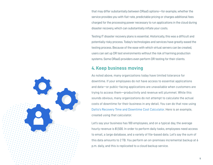that may differ substantially between DRaaS options—for example, whether the service provides you with flat-rate, predictable pricing or charges additional fees charged for the processing power necessary to run applications in the cloud during disaster recovery, which can substantially inflate your costs.

Testing IT disaster recovery plans is essential. Historically, this was a difficult and potentially risky process. Today's technologies and services have greatly eased the testing process. Because of the ease with which virtual servers can be created, users can set up DR test environments without the risk of harming production systems. Some DRaaS providers even perform DR testing for their clients.

## **4. Keep business moving**

As noted above, many organizations today have limited tolerance for downtime. If your employees do not have access to essential applications and data—or public-facing applications are unavailable when customers are trying to access them—productivity and revenue will plummet. While this sounds obvious, many organizations do not attempt to calculate the actual costs of downtime for their business in any detail. You can do that now using [Datto's Recovery Time and Downtime Cost Calculator](https://www.datto.com/rto/). Here is an example, created using that calculator.

Let's say your business has 100 employees, and on a typical day, the average hourly revenue is \$1,500. In order to perform daily tasks, employees need access to email, a large database, and a variety of file-based data. Let's say the sum of this data amounts to 2 TB. You perform an on-premises incremental backup at 6 p.m. daily, and this is replicated to a cloud backup service.

9

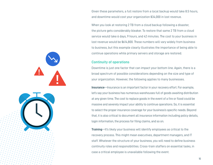Given these parameters, a full restore from a local backup would take 8.5 hours, and downtime would cost your organization \$34,000 in lost revenue.

When you look at restoring 2 TB from a cloud backup following a disaster, the picture gets considerably bleaker. To restore that same 2 TB from a cloud service would take 6 days, 9 hours, and 42 minutes. The cost to your business in lost revenue would be \$614,800. These numbers will vary widely from business to business, but this example clearly illustrates the importance of being able to continue operations while primary servers and storage are restored.

#### **Continuity of operations**

Downtime is just one factor that can impact your bottom line. Again, there is a broad spectrum of possible considerations depending on the size and type of your organization. However, the following applies to many businesses.

**Insurance**—Insurance is an important factor in your recovery effort. For example, let's say your business has numerous warehouses full of goods awaiting distribution at any given time. The cost to replace goods in the event of a fire or flood could be massive and severely impact your ability to continue operations. So, it is essential to select the proper insurance coverage for your business's specific needs. Beyond that, it is also critical to document all insurance information including policy details, login information, the process for filing claims, and so on.

**Training**—It's likely your business will identify employees as critical to the recovery process. This might mean executives, department managers, and IT staff. Whatever the structure of your business, you will need to define business continuity roles and responsibilities. Cross-train staffers on essential tasks, in case a critical employee is unavailable following the event.

10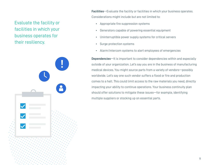## Evaluate the facility or facilities in which your business operates for their resiliency.



**Facilities**—Evaluate the facility or facilities in which your business operates. Considerations might include but are not limited to:

- Appropriate fire suppression systems
- Generators capable of powering essential equipment
- Uninterruptible power supply systems for critical servers
- Surge protection systems
- Alarm/intercom systems to alert employees of emergencies

**Dependencies**—It is important to consider dependencies within and especially outside of your organization. Let's say you are in the business of manufacturing medical devices. You might source parts from a variety of vendors—possibly worldwide. Let's say one such vendor suffers a flood or fire and production comes to a halt. This could limit access to the raw materials you need, directly impacting your ability to continue operations. Your business continuity plan should offer solutions to mitigate these issues—for example, identifying multiple suppliers or stocking up on essential parts.